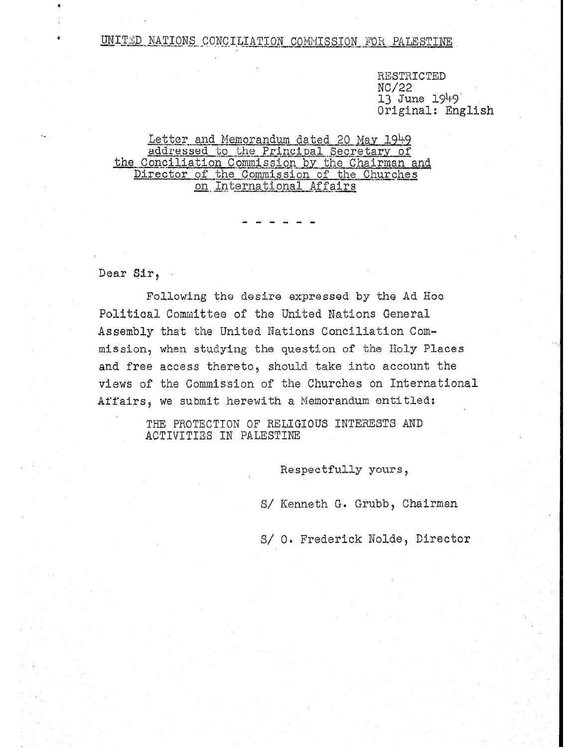UNITED NATIONS CONCILIATION COMMISSION FOR PALESTINE

RESTRICTED NC/22 13 June 1949 Original: English

## Letter and Memorandum dated 20 May 1949 addressed to the Principal Secretary of the Conciliation Commission by the Chairman and Director of the Commission of the Churches on International Affairs

Dear Sir,

Following the desire expressed by the Ad Hoc Political Committee of the United Nations General Assembly that the United Nations Conciliation Commission, when studying the question of the Holy Places and free access thereto, should take into account the views of the Commission of the Churches on International Affairs, we submit herewith a Memorandum entitled:

> THE PROTECTION OF RELIGIOUS INTERESTS AND ACTIVITIES IN PALESTINE

> > Respectfully yours,

S/ Kenneth G. Grubb, Chairman

S/ 0. Frederick Nolde, Director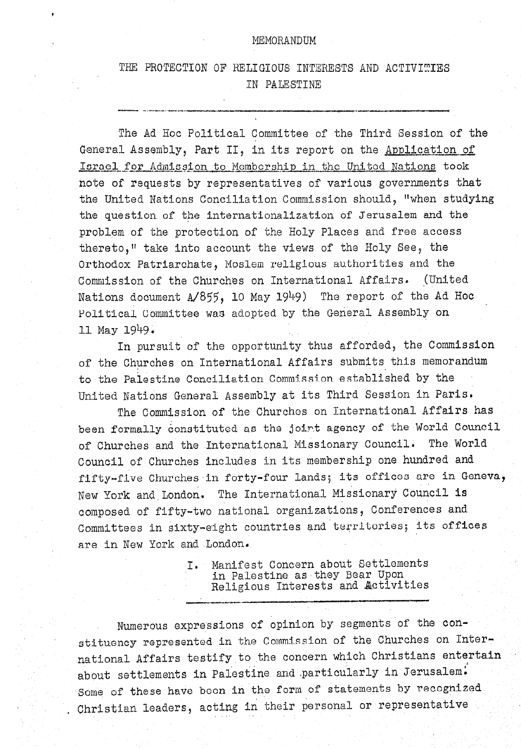## MEMORANDUM

## THE PROTECTION OF RELIGIOUS INTERESTS AND ACTIVITIES IN PALESTINE

The Ad Hoc Political Committee of the Third Session of the General Assembly, Part II, in its report on the Application of Israel for Admission to Membership in the United Nations took note of requests by representatives of various governments that the United Nations Conciliation Commission should, "when studying the question of the internationalization of Jerusalem and the problem of the protection of the Holy Places and free access thereto." take into account the views of the Holy See, the Orthodox Patriarchate, Moslem religious authorities and the Commission of the Churches on International Affairs. (United Nations document A/855, 10 May 1949) The report of the Ad Hoc Political Committee was adopted by the General Assembly on 11 May 1949.

In pursuit of the opportunity thus afforded, the Commission of the Churches on International Affairs submits this memorandum to the Palestine Conciliation Commission established by the United Nations General Assembly at its Third Session in Paris.

The Commission of the Churches on International Affairs has been formally constituted as the joint agency of the World Council of Churches and the International Missionary Council. The World Council of Churches includes in its membership one hundred and fifty-five Churches in forty-four lands; its offices are in Geneva, New York and London. The International Missionary Council is composed of fifty-two national organizations, Conferences and Committees in sixty-eight countries and territories; its offices are in New York and London.

> I. Manifest Concern about Settlements in Palestine as they Bear Upon Religious Interests and Activities

Numerous expressions of opinion by segments of the constituency represented in the Commission of the Churches on International Affairs testify to the concern which Christians entertain about settlements in Palestine and particularly in Jerusalem. Some of these have been in the form of statements by recognized Christian leaders, acting in their personal or representative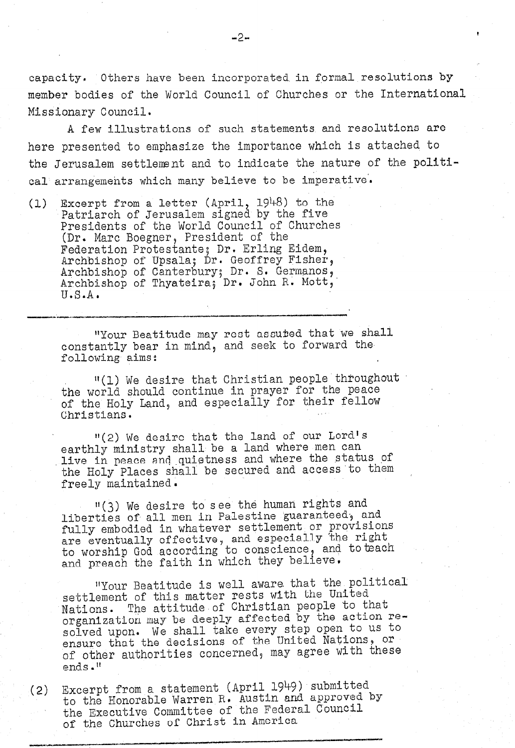capacity. Others have been incorporated in formal resolutions by member bodies of the World Council of Churches or the International Missionary Council.

A few illustrations of such statements and resolutions are here presented to emphasize the importance which is attached to the Jerusalem settlement and to indicate the nature of the political arrangements which many believe to be imperative'.

(1) Excerpt from a letter (April, 1948) to the Patriarch of Jerusalem signed by the five Presidents of the World Council of Churches (Dr. Marc Boegner, President of the Federation Protestante; Dr. Erling Eidem, Archbishop of Upsala; Dr. Geoffrey Fisher, Archbishop of Canterbury; Dr. S. Germanos, Archbishop of Thyateira; Dr. John R. Mott,' U.S.A.

> "Your Beatitude may rest assuted that we shall constant bear in may reso assassed only no be d die einer bear.

"(1) We desire that Christian people'throughout the world should continue in provided the peace. the World should continue in prayer for the pear of the Holy Land, and especially for their fellow<br>Christians.

"(2) We desire that the land of our Lord's earthly me desire fust minister range where men can earthly ministry shall be a land where men can live in peace and quietness and where the status of the Holy Places shall be secured and access to them<br>freely maintained.

"<br>"See the human rights and the human rights and the human rights and the human rights and the human rights and lightlies of all men in Palestine guaranteed. The municipality of all men in Palestine guaranteed. liberties of all men in Palestine guaranteed, and fully embodied in whatever settlement or provisions are eventually effective, and especially the right to worship God according to conscience, and to teach<br>and preach the faith in which they believe.

ItYour Beatitude is well aware. that the political  $"Your$  Beatitude is well aware that the  $pc$ settlement of this matter rests with the United Nations. The attitude of Christian people to that organization may be deeply affected by the action resolved upon. We shall take every step open to us to ensure that the decisions of the United Nations, or of other authorities concerned, may agree with these

(2) Excerpt from a StateiXeht (April 1949) submitted  $\kappa_{{\tt XC}}$ ernt from a statement (April 1949) submitted  $(2)$ to the Honorable Warren R. Austin and approved by the Executive Committee of the Fede of the Churches of Christ in America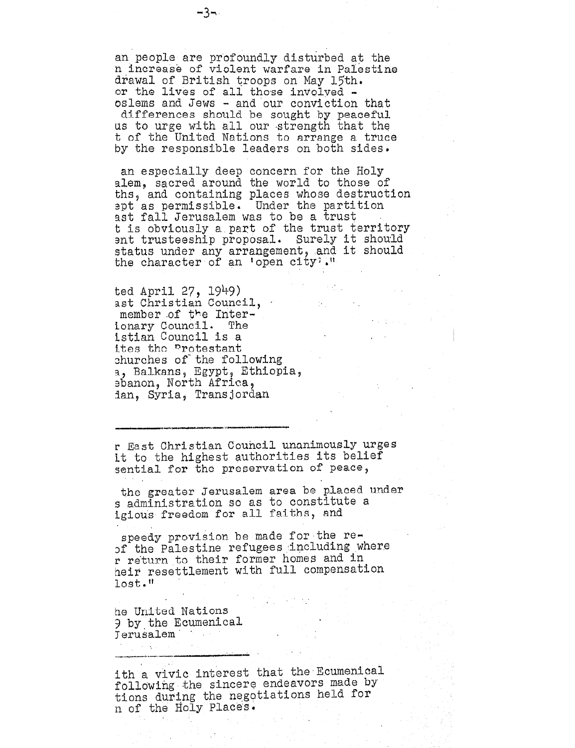an people are profoundly disturbed at the n increase of violent warfare in Palestine drawal of British troops on May 15th. or the lives of all those involved oslems and Jews - and our conviction that

differences should be sought by peaceful<br>us to urge with all our strength that the t of the United Nations to arrange a truce by the responsible leaders on both sides.

an especially deep concern for the Holy alem, sacred around the world to those of ths, and containing places whose destruction apt as permissible. Under the partition ast fall Jerusalem was to be a trust t is obviously a part of the trust territory ent trusteeship proposal. Surely it should status under any arrangement, and it should the character of an 'open city'."

 $\sim 100$ 

ted April 27, 1949) ast Christian Council, member of the Interionary Council. The istian Council is a ites the protestant churches of the following a, Balkans, Egypt, Ethiopia, sbanon, North Africa, ian, Syria, Transjordan

r East Christian Council unanimously urges it to the highest authorities its belief sential for the preservation of peace,

the greater Jerusalem area be placed under s administration so as to constitute a igious freedom for all faiths, and

speedy provision be made for the reof the Palestine refugees including where r return to their former homes and in heir resettlement with full compensation lost."

he United Nations 9 by the Ecumenical Terusalem

ith a vivic interest that the Ecumenical following the sincere endeavors made by tions during the negotiations held for n of the Holy Places.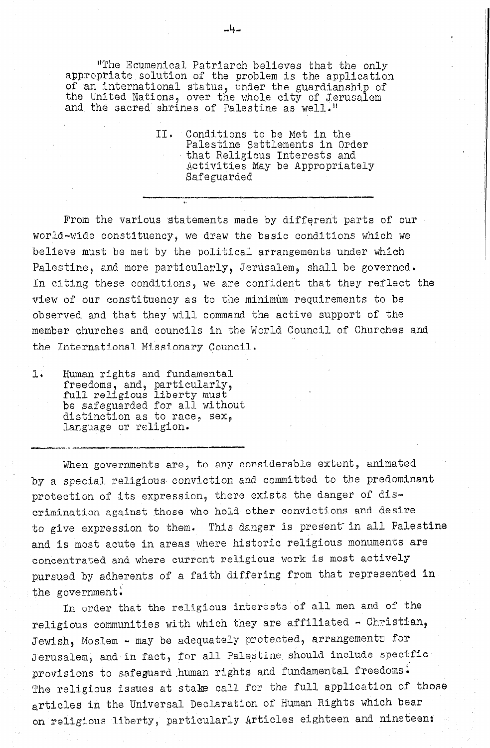"The Ecumenical Patriarch believes that the only appropriate solution of the problem is the application of an international status, under the guardianship of the United Nations, over the whole city of Jerusalem and the sacred shrines of Palestine as well."

> II. Conditions to be Met in the Palestine Settlements in Order that Religious Interests and Activities May be Appropriately Safeguarded

From the various statements made by different parts of our world-wide constituency, we draw the basic conditions which we believe must be met by the political arrangements under which Palestine, and more particularly, Jerusalem, shall be governed. In citing these conditions, we are confident that they reflect the view of our constituency as to the minimum requirements to be observed and that they will command the active support of the member churches and councils in the World Council of Churches and the International Missionary Council.

I\*' Human rights and fundamental Human rights and fundame  $f$ reedoms, and,  ${\tt particularly}$ full refigions fiberty must be safeguarded for all withd distinction as to race, sex,<br>language or religion.

When governments are presented as a set  $\mathcal{E}$  and  $\mathcal{E}$  and  $\mathcal{E}$  and  $\mathcal{E}$  and  $\mathcal{E}$  and  $\mathcal{E}$  and  $\mathcal{E}$  $\sum_{i=1}^n \sum_{i=1}^n \sum_{i=1}^n \sum_{i=1}^n \sum_{i=1}^n \sum_{i=1}^n \sum_{i=1}^n \sum_{i=1}^n \sum_{i=1}^n \sum_{i=1}^n \sum_{i=1}^n \sum_{i=1}^n \sum_{i=1}^n \sum_{i=1}^n \sum_{i=1}^n \sum_{i=1}^n \sum_{i=1}^n \sum_{i=1}^n \sum_{i=1}^n \sum_{i=1}^n \sum_{i=1}^n \sum_{i=1}^n \sum_{i=1}^n \sum_{i=1}^n \sum_{i$ by a special religious conviction and committed to the predominant protection of its expression, there exists the danger of discrimination against those who hold other convictions and desire to give expression to them. This danger is present in all Palestine and is most acute in areas where historic religious monuments are concentrated and where current religious work is most actively pursued by adherents of a faith differing from that represented in over the religious interests of all men and of the religious interests of the religious interests of the set of the set of the set of the set of the set of the set of the set of the set of the set of the set of the set of

ru ongen quae que retratous moetes es en ent mon que or en religious communities with which they are affiliated - Christian, Jewish, Moslem - may be adequately protected, arrangements for Jerusalem, and in fact, for all Palestine should include specific provisions to safeguard human rights and fundamental freedoms. The religious issues at stake call for the full application of those articles in the Universal Declaration of Human Rights which bear on religious liberty, particularly Articles eighteen and nineteen: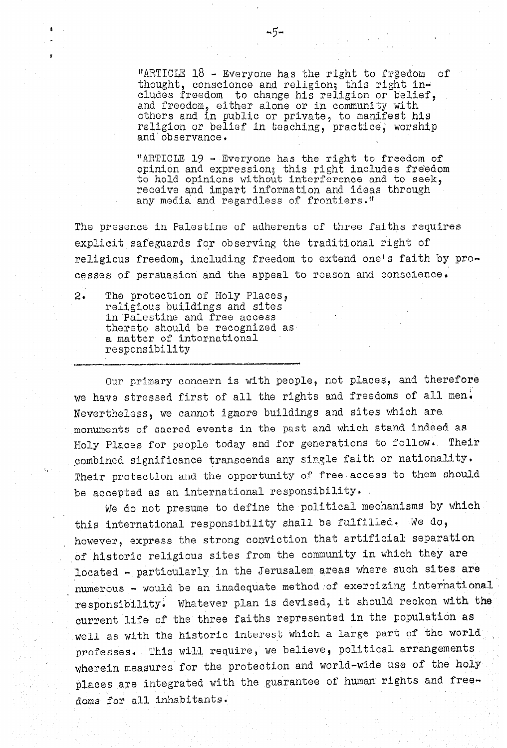"ARTICLE  $18$  - Everyone has the right to freedom of thought, conscience and religion; this right includes freedom to change his religion or belie and freedom, either alone or in community with others and in public or private, to manifest his religion or belief in teaching, practice, worship and observance.

"ARTICLE 19 - Everyone has the right to freedom of opinion and expression; this right includes freedom to hold opinions without interference and to seek, receive and impart information and ideas through any media and regardless of frontiers."

The presence in Palestine of adherents of three faiths requires explicit safeguards for observing the traditional right of religious freedom, including freedom to extend one's faith by processes of persuasion and the appeal to reason and conscience.

2; The protection of Holy Places, religious buildings and sites in Palestine and free access thereto should be recognized as a matter of international responsibility

.<br>.<br>.

Our primary concern is with people, not places, and therefore we have stressed first of all the rights and freedoms of all men. Nevertheless, we cannot ignore buildings and sites which are. monuments of sacred events in the past and which stand indeed as Holy Places for people today and for generations to follow. Their combined significance transcends any single faith or nationality. Their protection and the opportunity of free access to them should be accepted as an international responsibility.

We do not presume to define the political mechanisms by which this international responsibility shall be fulfilled. We do, however, express the strong conviction that artificial separation of historic religious sites from the community in which they are located - particularly in the Jerusalem areas where such sites are numerous - would be an inadequate method of exercizing international responsibility: Whatever plan is devised, it should reckon with the current life of the three faiths represented in the population as well as with the historic interest which a large part of the world professes. This will require, we believe, political arrangements wherein measures for the protection and world-wide use of the holy places are integrated with the guarantee of human rights and freedoms for all inhabitants.